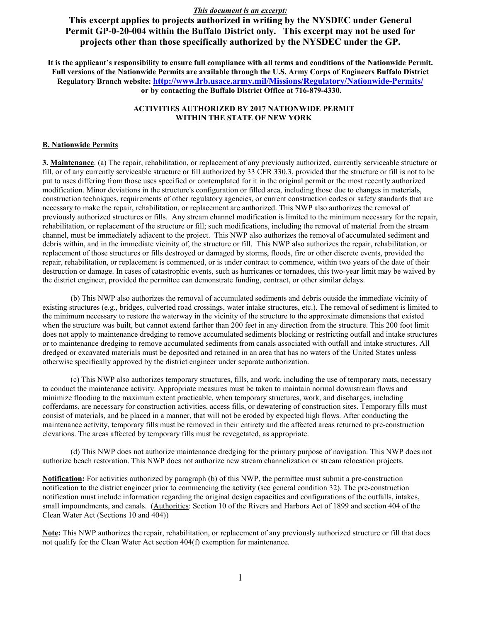**This excerpt applies to projects authorized in writing by the NYSDEC under General Permit GP-0-20-004 within the Buffalo District only. This excerpt may not be used for projects other than those specifically authorized by the NYSDEC under the GP.** 

**It is the applicant's responsibility to ensure full compliance with all terms and conditions of the Nationwide Permit. Full versions of the Nationwide Permits are available through the U.S. Army Corps of Engineers Buffalo District Regulatory Branch website: <http://www.lrb.usace.army.mil/Missions/Regulatory/Nationwide-Permits/> or by contacting the Buffalo District Office at 716-879-4330.**

### **ACTIVITIES AUTHORIZED BY 2017 NATIONWIDE PERMIT WITHIN THE STATE OF NEW YORK**

#### **B. Nationwide Permits**

**3. Maintenance**. (a) The repair, rehabilitation, or replacement of any previously authorized, currently serviceable structure or fill, or of any currently serviceable structure or fill authorized by 33 CFR 330.3, provided that the structure or fill is not to be put to uses differing from those uses specified or contemplated for it in the original permit or the most recently authorized modification. Minor deviations in the structure's configuration or filled area, including those due to changes in materials, construction techniques, requirements of other regulatory agencies, or current construction codes or safety standards that are necessary to make the repair, rehabilitation, or replacement are authorized. This NWP also authorizes the removal of previously authorized structures or fills. Any stream channel modification is limited to the minimum necessary for the repair, rehabilitation, or replacement of the structure or fill; such modifications, including the removal of material from the stream channel, must be immediately adjacent to the project. This NWP also authorizes the removal of accumulated sediment and debris within, and in the immediate vicinity of, the structure or fill. This NWP also authorizes the repair, rehabilitation, or replacement of those structures or fills destroyed or damaged by storms, floods, fire or other discrete events, provided the repair, rehabilitation, or replacement is commenced, or is under contract to commence, within two years of the date of their destruction or damage. In cases of catastrophic events, such as hurricanes or tornadoes, this two-year limit may be waived by the district engineer, provided the permittee can demonstrate funding, contract, or other similar delays.

(b) This NWP also authorizes the removal of accumulated sediments and debris outside the immediate vicinity of existing structures (e.g., bridges, culverted road crossings, water intake structures, etc.). The removal of sediment is limited to the minimum necessary to restore the waterway in the vicinity of the structure to the approximate dimensions that existed when the structure was built, but cannot extend farther than 200 feet in any direction from the structure. This 200 foot limit does not apply to maintenance dredging to remove accumulated sediments blocking or restricting outfall and intake structures or to maintenance dredging to remove accumulated sediments from canals associated with outfall and intake structures. All dredged or excavated materials must be deposited and retained in an area that has no waters of the United States unless otherwise specifically approved by the district engineer under separate authorization.

(c) This NWP also authorizes temporary structures, fills, and work, including the use of temporary mats, necessary to conduct the maintenance activity. Appropriate measures must be taken to maintain normal downstream flows and minimize flooding to the maximum extent practicable, when temporary structures, work, and discharges, including cofferdams, are necessary for construction activities, access fills, or dewatering of construction sites. Temporary fills must consist of materials, and be placed in a manner, that will not be eroded by expected high flows. After conducting the maintenance activity, temporary fills must be removed in their entirety and the affected areas returned to pre-construction elevations. The areas affected by temporary fills must be revegetated, as appropriate.

(d) This NWP does not authorize maintenance dredging for the primary purpose of navigation. This NWP does not authorize beach restoration. This NWP does not authorize new stream channelization or stream relocation projects.

**Notification:** For activities authorized by paragraph (b) of this NWP, the permittee must submit a pre-construction notification to the district engineer prior to commencing the activity (see general condition 32). The pre-construction notification must include information regarding the original design capacities and configurations of the outfalls, intakes, small impoundments, and canals. (Authorities: Section 10 of the Rivers and Harbors Act of 1899 and section 404 of the Clean Water Act (Sections 10 and 404))

**Note:** This NWP authorizes the repair, rehabilitation, or replacement of any previously authorized structure or fill that does not qualify for the Clean Water Act section 404(f) exemption for maintenance.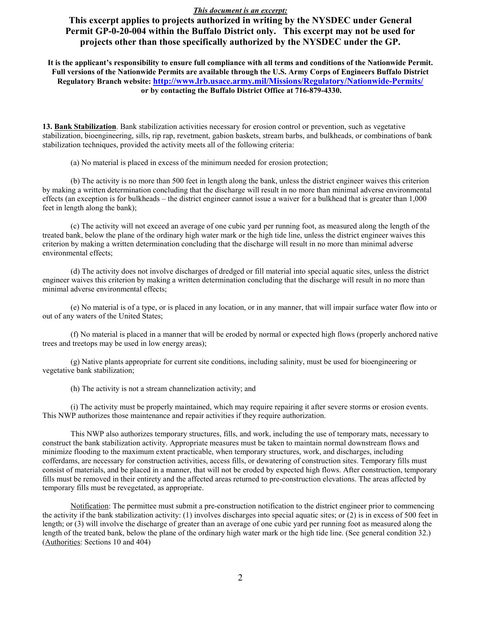**This excerpt applies to projects authorized in writing by the NYSDEC under General Permit GP-0-20-004 within the Buffalo District only. This excerpt may not be used for projects other than those specifically authorized by the NYSDEC under the GP.** 

**It is the applicant's responsibility to ensure full compliance with all terms and conditions of the Nationwide Permit. Full versions of the Nationwide Permits are available through the U.S. Army Corps of Engineers Buffalo District Regulatory Branch website: <http://www.lrb.usace.army.mil/Missions/Regulatory/Nationwide-Permits/> or by contacting the Buffalo District Office at 716-879-4330.**

**13. Bank Stabilization**. Bank stabilization activities necessary for erosion control or prevention, such as vegetative stabilization, bioengineering, sills, rip rap, revetment, gabion baskets, stream barbs, and bulkheads, or combinations of bank stabilization techniques, provided the activity meets all of the following criteria:

(a) No material is placed in excess of the minimum needed for erosion protection;

(b) The activity is no more than 500 feet in length along the bank, unless the district engineer waives this criterion by making a written determination concluding that the discharge will result in no more than minimal adverse environmental effects (an exception is for bulkheads – the district engineer cannot issue a waiver for a bulkhead that is greater than 1,000 feet in length along the bank);

(c) The activity will not exceed an average of one cubic yard per running foot, as measured along the length of the treated bank, below the plane of the ordinary high water mark or the high tide line, unless the district engineer waives this criterion by making a written determination concluding that the discharge will result in no more than minimal adverse environmental effects;

(d) The activity does not involve discharges of dredged or fill material into special aquatic sites, unless the district engineer waives this criterion by making a written determination concluding that the discharge will result in no more than minimal adverse environmental effects;

(e) No material is of a type, or is placed in any location, or in any manner, that will impair surface water flow into or out of any waters of the United States;

(f) No material is placed in a manner that will be eroded by normal or expected high flows (properly anchored native trees and treetops may be used in low energy areas);

(g) Native plants appropriate for current site conditions, including salinity, must be used for bioengineering or vegetative bank stabilization;

(h) The activity is not a stream channelization activity; and

(i) The activity must be properly maintained, which may require repairing it after severe storms or erosion events. This NWP authorizes those maintenance and repair activities if they require authorization.

This NWP also authorizes temporary structures, fills, and work, including the use of temporary mats, necessary to construct the bank stabilization activity. Appropriate measures must be taken to maintain normal downstream flows and minimize flooding to the maximum extent practicable, when temporary structures, work, and discharges, including cofferdams, are necessary for construction activities, access fills, or dewatering of construction sites. Temporary fills must consist of materials, and be placed in a manner, that will not be eroded by expected high flows. After construction, temporary fills must be removed in their entirety and the affected areas returned to pre-construction elevations. The areas affected by temporary fills must be revegetated, as appropriate.

Notification: The permittee must submit a pre-construction notification to the district engineer prior to commencing the activity if the bank stabilization activity: (1) involves discharges into special aquatic sites; or (2) is in excess of 500 feet in length; or (3) will involve the discharge of greater than an average of one cubic yard per running foot as measured along the length of the treated bank, below the plane of the ordinary high water mark or the high tide line. (See general condition 32.) (Authorities: Sections 10 and 404)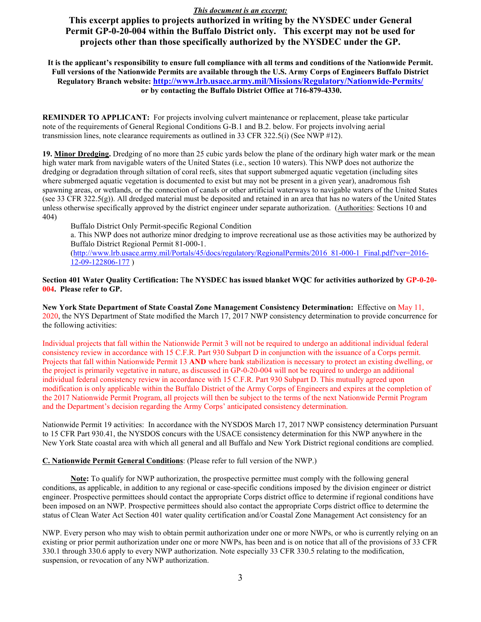**This excerpt applies to projects authorized in writing by the NYSDEC under General Permit GP-0-20-004 within the Buffalo District only. This excerpt may not be used for projects other than those specifically authorized by the NYSDEC under the GP.** 

**It is the applicant's responsibility to ensure full compliance with all terms and conditions of the Nationwide Permit. Full versions of the Nationwide Permits are available through the U.S. Army Corps of Engineers Buffalo District Regulatory Branch website: <http://www.lrb.usace.army.mil/Missions/Regulatory/Nationwide-Permits/> or by contacting the Buffalo District Office at 716-879-4330.**

**REMINDER TO APPLICANT:** For projects involving culvert maintenance or replacement, please take particular note of the requirements of General Regional Conditions G-B.1 and B.2. below. For projects involving aerial transmission lines, note clearance requirements as outlined in 33 CFR 322.5(i) (See NWP #12).

**19. Minor Dredging.** Dredging of no more than 25 cubic yards below the plane of the ordinary high water mark or the mean high water mark from navigable waters of the United States (i.e., section 10 waters). This NWP does not authorize the dredging or degradation through siltation of coral reefs, sites that support submerged aquatic vegetation (including sites where submerged aquatic vegetation is documented to exist but may not be present in a given year), anadromous fish spawning areas, or wetlands, or the connection of canals or other artificial waterways to navigable waters of the United States (see 33 CFR 322.5(g)). All dredged material must be deposited and retained in an area that has no waters of the United States unless otherwise specifically approved by the district engineer under separate authorization. (Authorities: Sections 10 and 404)

Buffalo District Only Permit-specific Regional Condition

a. This NWP does not authorize minor dredging to improve recreational use as those activities may be authorized by Buffalo District Regional Permit 81-000-1.

[\(http://www.lrb.usace.army.mil/Portals/45/docs/regulatory/RegionalPermits/2016\\_81-000-1\\_Final.pdf?ver=2016-](http://www.lrb.usace.army.mil/Portals/45/docs/regulatory/RegionalPermits/2016_81-000-1_Final.pdf?ver=2016-12-09-122806-177) [12-09-122806-177](http://www.lrb.usace.army.mil/Portals/45/docs/regulatory/RegionalPermits/2016_81-000-1_Final.pdf?ver=2016-12-09-122806-177) )

### **Section 401 Water Quality Certification:** T**he NYSDEC has issued blanket WQC for activities authorized by GP-0-20- 004. Please** r**efer to GP.**

**New York State Department of State Coastal Zone Management Consistency Determination:** Effective on May 11, 2020, the NYS Department of State modified the March 17, 2017 NWP consistency determination to provide concurrence for the following activities:

Individual projects that fall within the Nationwide Permit 3 will not be required to undergo an additional individual federal consistency review in accordance with 15 C.F.R. Part 930 Subpart D in conjunction with the issuance of a Corps permit. Projects that fall within Nationwide Permit 13 **AND** where bank stabilization is necessary to protect an existing dwelling, or the project is primarily vegetative in nature, as discussed in GP-0-20-004 will not be required to undergo an additional individual federal consistency review in accordance with 15 C.F.R. Part 930 Subpart D. This mutually agreed upon modification is only applicable within the Buffalo District of the Army Corps of Engineers and expires at the completion of the 2017 Nationwide Permit Program, all projects will then be subject to the terms of the next Nationwide Permit Program and the Department's decision regarding the Army Corps' anticipated consistency determination.

Nationwide Permit 19 activities: In accordance with the NYSDOS March 17, 2017 NWP consistency determination Pursuant to 15 CFR Part 930.41, the NYSDOS concurs with the USACE consistency determination for this NWP anywhere in the New York State coastal area with which all general and all Buffalo and New York District regional conditions are complied.

## **C. Nationwide Permit General Conditions**: (Please refer to full version of the NWP.)

**Note:** To qualify for NWP authorization, the prospective permittee must comply with the following general conditions, as applicable, in addition to any regional or case-specific conditions imposed by the division engineer or district engineer. Prospective permittees should contact the appropriate Corps district office to determine if regional conditions have been imposed on an NWP. Prospective permittees should also contact the appropriate Corps district office to determine the status of Clean Water Act Section 401 water quality certification and/or Coastal Zone Management Act consistency for an

NWP. Every person who may wish to obtain permit authorization under one or more NWPs, or who is currently relying on an existing or prior permit authorization under one or more NWPs, has been and is on notice that all of the provisions of 33 CFR 330.1 through 330.6 apply to every NWP authorization. Note especially 33 CFR 330.5 relating to the modification, suspension, or revocation of any NWP authorization.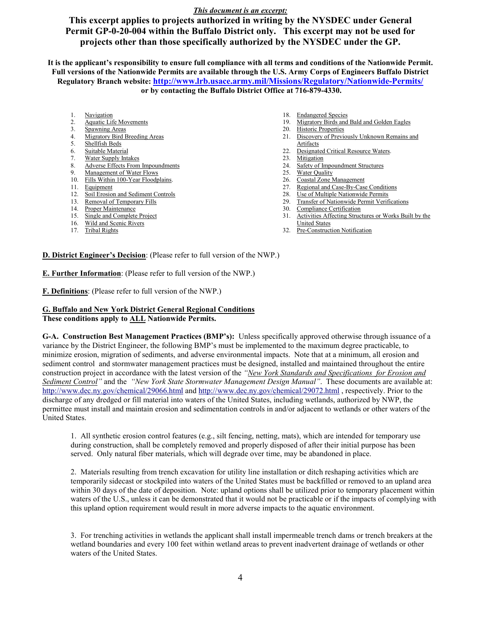**This excerpt applies to projects authorized in writing by the NYSDEC under General Permit GP-0-20-004 within the Buffalo District only. This excerpt may not be used for projects other than those specifically authorized by the NYSDEC under the GP.** 

**It is the applicant's responsibility to ensure full compliance with all terms and conditions of the Nationwide Permit. Full versions of the Nationwide Permits are available through the U.S. Army Corps of Engineers Buffalo District Regulatory Branch website: <http://www.lrb.usace.army.mil/Missions/Regulatory/Nationwide-Permits/> or by contacting the Buffalo District Office at 716-879-4330.**

- 1. Navigation
- 2. Aquatic Life Movements<br>3. Spawning Areas
- Spawning Areas
- 4. Migratory Bird Breeding Areas
- 5. Shellfish Beds
- 6. Suitable Material
- 7. Water Supply Intakes
- 8. Adverse Effects From Impoundments
- 9. Management of Water Flows 10. Fills Within 100-Year Floodplains.
- 
- 11. Equipment
- 12. Soil Erosion and Sediment Controls
- 13. Removal of Temporary Fills
- 14. Proper Maintenance
- 15. Single and Complete Project
- 16. Wild and Scenic Rivers
- 17. Tribal Rights
- 18. Endangered Species
- 19. Migratory Birds and Bald and Golden Eagles<br>20. Historic Properties
- Historic Properties
- 21. Discovery of Previously Unknown Remains and **Artifacts**
- 22. Designated Critical Resource Waters.
- 23. Mitigation
- 24. Safety of Impoundment Structures
- 25. Water Quality
- 26. Coastal Zone Management<br>27. Regional and Case-By-Case
- Regional and Case-By-Case Conditions
- 28. Use of Multiple Nationwide Permits
- 29. Transfer of Nationwide Permit Verifications
- 30. Compliance Certification
- 31. Activities Affecting Structures or Works Built by the United States
- 32. Pre-Construction Notification

**D. District Engineer's Decision**: (Please refer to full version of the NWP.)

**E. Further Information**: (Please refer to full version of the NWP.)

**F. Definitions**: (Please refer to full version of the NWP.)

## **G. Buffalo and New York District General Regional Conditions**

#### **These conditions apply to ALL Nationwide Permits.**

**G-A. Construction Best Management Practices (BMP's):** Unless specifically approved otherwise through issuance of a variance by the District Engineer, the following BMP's must be implemented to the maximum degree practicable, to minimize erosion, migration of sediments, and adverse environmental impacts. Note that at a minimum, all erosion and sediment control and stormwater management practices must be designed, installed and maintained throughout the entire construction project in accordance with the latest version of the *"New York Standards and Specifications for Erosion and Sediment Control"* and the *"New York State Stormwater Management Design Manual"*. These documents are available at: <http://www.dec.ny.gov/chemical/29066.html> and<http://www.dec.ny.gov/chemical/29072.html> , respectively. Prior to the discharge of any dredged or fill material into waters of the United States, including wetlands, authorized by NWP, the permittee must install and maintain erosion and sedimentation controls in and/or adjacent to wetlands or other waters of the United States.

1. All synthetic erosion control features (e.g., silt fencing, netting, mats), which are intended for temporary use during construction, shall be completely removed and properly disposed of after their initial purpose has been served. Only natural fiber materials, which will degrade over time, may be abandoned in place.

2. Materials resulting from trench excavation for utility line installation or ditch reshaping activities which are temporarily sidecast or stockpiled into waters of the United States must be backfilled or removed to an upland area within 30 days of the date of deposition. Note: upland options shall be utilized prior to temporary placement within waters of the U.S., unless it can be demonstrated that it would not be practicable or if the impacts of complying with this upland option requirement would result in more adverse impacts to the aquatic environment.

3. For trenching activities in wetlands the applicant shall install impermeable trench dams or trench breakers at the wetland boundaries and every 100 feet within wetland areas to prevent inadvertent drainage of wetlands or other waters of the United States.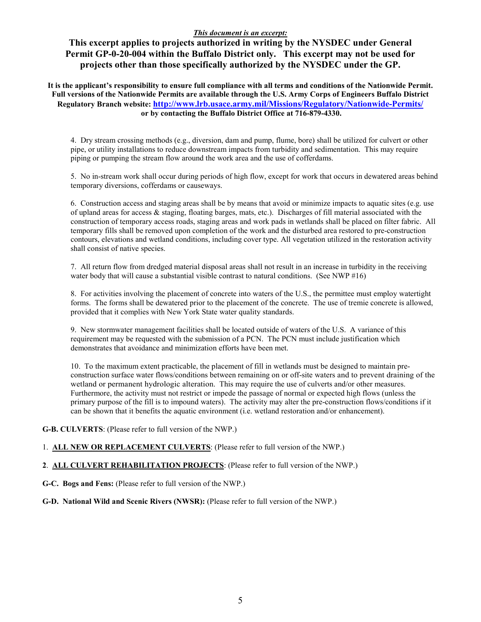**This excerpt applies to projects authorized in writing by the NYSDEC under General Permit GP-0-20-004 within the Buffalo District only. This excerpt may not be used for projects other than those specifically authorized by the NYSDEC under the GP.** 

**It is the applicant's responsibility to ensure full compliance with all terms and conditions of the Nationwide Permit. Full versions of the Nationwide Permits are available through the U.S. Army Corps of Engineers Buffalo District Regulatory Branch website: <http://www.lrb.usace.army.mil/Missions/Regulatory/Nationwide-Permits/> or by contacting the Buffalo District Office at 716-879-4330.**

4. Dry stream crossing methods (e.g., diversion, dam and pump, flume, bore) shall be utilized for culvert or other pipe, or utility installations to reduce downstream impacts from turbidity and sedimentation. This may require piping or pumping the stream flow around the work area and the use of cofferdams.

5. No in-stream work shall occur during periods of high flow, except for work that occurs in dewatered areas behind temporary diversions, cofferdams or causeways.

6. Construction access and staging areas shall be by means that avoid or minimize impacts to aquatic sites (e.g. use of upland areas for access  $\&$  staging, floating barges, mats, etc.). Discharges of fill material associated with the construction of temporary access roads, staging areas and work pads in wetlands shall be placed on filter fabric. All temporary fills shall be removed upon completion of the work and the disturbed area restored to pre-construction contours, elevations and wetland conditions, including cover type. All vegetation utilized in the restoration activity shall consist of native species.

7. All return flow from dredged material disposal areas shall not result in an increase in turbidity in the receiving water body that will cause a substantial visible contrast to natural conditions. (See NWP #16)

8. For activities involving the placement of concrete into waters of the U.S., the permittee must employ watertight forms. The forms shall be dewatered prior to the placement of the concrete. The use of tremie concrete is allowed, provided that it complies with New York State water quality standards.

9. New stormwater management facilities shall be located outside of waters of the U.S. A variance of this requirement may be requested with the submission of a PCN. The PCN must include justification which demonstrates that avoidance and minimization efforts have been met.

10. To the maximum extent practicable, the placement of fill in wetlands must be designed to maintain preconstruction surface water flows/conditions between remaining on or off-site waters and to prevent draining of the wetland or permanent hydrologic alteration. This may require the use of culverts and/or other measures. Furthermore, the activity must not restrict or impede the passage of normal or expected high flows (unless the primary purpose of the fill is to impound waters). The activity may alter the pre-construction flows/conditions if it can be shown that it benefits the aquatic environment (i.e. wetland restoration and/or enhancement).

**G-B. CULVERTS**: (Please refer to full version of the NWP.)

- 1. **ALL NEW OR REPLACEMENT CULVERTS**: (Please refer to full version of the NWP.)
- **2**. **ALL CULVERT REHABILITATION PROJECTS**: (Please refer to full version of the NWP.)
- **G-C. Bogs and Fens:** (Please refer to full version of the NWP.)

## **G-D. National Wild and Scenic Rivers (NWSR):** (Please refer to full version of the NWP.)